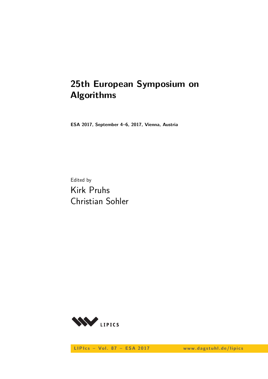# **25th European Symposium on Algorithms**

**ESA 2017, September 4–6, 2017, Vienna, Austria**

Edited by Kirk Pruhs Christian Sohler



LIPIcs - Vol. 87 - ESA 2017 www.dagstuhl.de/lipics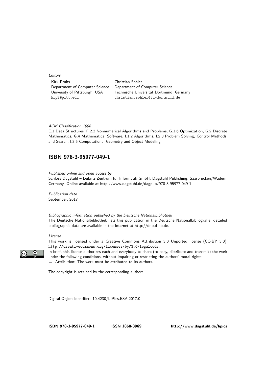#### **Editors**

| Kirk Pruhs                     | Christian Sohler                         |
|--------------------------------|------------------------------------------|
| Department of Computer Science | Department of Computer Science           |
| University of Pittsburgh, USA  | Technische Universität Dortmund, Germany |
| krp2@pitt.edu                  | christian.sohler@tu-dortmund.de          |

#### ACM Classification 1998

E.1 Data Structures, F.2.2 Nonnumerical Algorithms and Problems, G.1.6 Optimization, G.2 Discrete Mathematics, G.4 Mathematical Software, I.1.2 Algorithms, I.2.8 Problem Solving, Control Methods, and Search, I.3.5 Computational Geometry and Object Modeling

#### **[ISBN 978-3-95977-049-1](http://www.dagstuhl.de/dagpub/978-3-95977-049-1)**

Published online and open access by

Schloss Dagstuhl – Leibniz-Zentrum für Informatik GmbH, Dagstuhl Publishing, Saarbrücken/Wadern, Germany. Online available at [http://www.dagstuhl.de/dagpub/978-3-95977-049-1.](http://www.dagstuhl.de/dagpub/978-3-95977-049-1)

Publication date September, 2017

Bibliographic information published by the Deutsche Nationalbibliothek The Deutsche Nationalbibliothek lists this publication in the Deutsche Nationalbibliografie; detailed bibliographic data are available in the Internet at [http://dnb.d-nb.de.](http://dnb.d-nb.de)

#### License

 $\odot$ 

This work is licensed under a Creative Commons Attribution 3.0 Unported license (CC-BY 3.0): http://creativecommons.org/licenses/by/3.0/legalcode.

In brief, this license authorizes each and everybody to share (to copy, distribute and transmit) the work under the following conditions, without impairing or restricting the authors' moral rights: Attribution: The work must be attributed to its authors.

The copyright is retained by the corresponding authors.

Digital Object Identifier: [10.4230/LIPIcs.ESA.2017.0](http://dx.doi.org/10.4230/LIPIcs.ESA.2017.0)

**[ISBN 978-3-95977-049-1](http://www.dagstuhl.de/dagpub/978-3-95977-049-1) [ISSN 1868-8969](http://drops.dagstuhl.de/lipics)<http://www.dagstuhl.de/lipics>**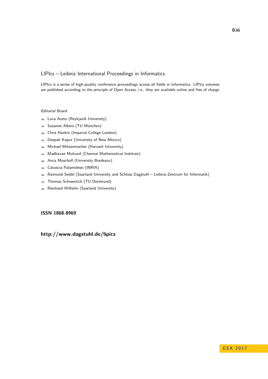#### LIPIcs – Leibniz International Proceedings in Informatics

LIPIcs is a series of high-quality conference proceedings across all fields in informatics. LIPIcs volumes are published according to the principle of Open Access, i.e., they are available online and free of charge.

#### Editorial Board

- **Luca Aceto** (Reykjavik University)
- Susanne Albers (TU München)  $\equiv$
- Chris Hankin (Imperial College London)  $\blacksquare$
- Deepak Kapur (University of New Mexico)  $\equiv$
- Michael Mitzenmacher (Harvard University)  $\sim$
- Madhavan Mukund (Chennai Mathematical Institute)  $\blacksquare$
- Anca Muscholl (University Bordeaux)  $\blacksquare$
- Catuscia Palamidessi (INRIA)  $\overline{\phantom{a}}$
- Raimund Seidel (Saarland University and Schloss Dagstuhl Leibniz-Zentrum für Informatik)  $\blacksquare$
- Thomas Schwentick (TU Dortmund)  $\overline{a}$
- Reinhard Wilhelm (Saarland University)  $\bar{a}$

#### **[ISSN 1868-8969](http://www.dagstuhl.de/dagpub/1868-8969)**

### **<http://www.dagstuhl.de/lipics>**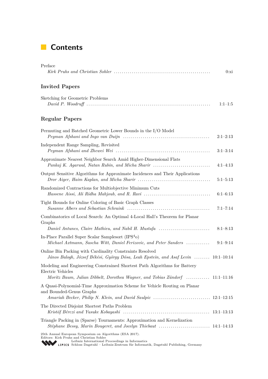### **Contents**

| Preface                                                                                                                                                                                                                                            | 0:xi         |
|----------------------------------------------------------------------------------------------------------------------------------------------------------------------------------------------------------------------------------------------------|--------------|
| <b>Invited Papers</b>                                                                                                                                                                                                                              |              |
| Sketching for Geometric Problems                                                                                                                                                                                                                   | $1:1-1:5$    |
| <b>Regular Papers</b>                                                                                                                                                                                                                              |              |
| Permuting and Batched Geometric Lower Bounds in the I/O Model<br>$Peyman$ Afshani and Ingo van Duijn $\ldots \ldots \ldots \ldots \ldots \ldots \ldots \ldots \ldots \ldots \ldots$                                                                | $2:1-2:13$   |
| Independent Range Sampling, Revisited                                                                                                                                                                                                              | $3:1-3:14$   |
| Approximate Nearest Neighbor Search Amid Higher-Dimensional Flats<br>Pankaj K. Agarwal, Natan Rubin, and Micha Sharir                                                                                                                              | $4:1-4:13$   |
| Output Sensitive Algorithms for Approximate Incidences and Their Applications                                                                                                                                                                      | $5:1-5:13$   |
| Randomized Contractions for Multiobjective Minimum Cuts<br>Hassene Aissi, Ali Ridha Mahjoub, and R. Ravi                                                                                                                                           | $6:1-6:13$   |
| Tight Bounds for Online Coloring of Basic Graph Classes                                                                                                                                                                                            | $7:1 - 7:14$ |
| Combinatorics of Local Search: An Optimal 4-Local Hall's Theorem for Planar<br>Graphs                                                                                                                                                              |              |
| Daniel Antunes, Claire Mathieu, and Nabil H. Mustafa<br>In-Place Parallel Super Scalar Samplesort $(IPS4o)$                                                                                                                                        | $8:1 - 8:13$ |
| Michael Axtmann, Sascha Witt, Daniel Ferizovic, and Peter Sanders                                                                                                                                                                                  | $9:1 - 9:14$ |
| Online Bin Packing with Cardinality Constraints Resolved<br>János Balogh, József Békési, György Dósa, Leah Epstein, and Asaf Levin  10:1–10:14                                                                                                     |              |
| Modeling and Engineering Constrained Shortest Path Algorithms for Battery<br>Electric Vehicles<br>Moritz Baum, Julian Dibbelt, Dorothea Wagner, and Tobias Zündorf  11:1–11:16                                                                     |              |
| A Quasi-Polynomial-Time Approximation Scheme for Vehicle Routing on Planar<br>and Bounded-Genus Graphs                                                                                                                                             |              |
|                                                                                                                                                                                                                                                    |              |
| The Directed Disjoint Shortest Paths Problem<br>Kristóf Bérczi and Yusuke Kobayashi $\ldots \ldots \ldots \ldots \ldots \ldots \ldots \ldots \ldots \ldots \ldots \ldots \ldots \qquad 13:1-13:13$                                                 |              |
| Triangle Packing in (Sparse) Tournaments: Approximation and Kernelization                                                                                                                                                                          |              |
| 25th Annual European Symposium on Algorithms (ESA 2017).<br>Editors: Kirk Pruhs and Christian Sohler<br>Leibniz International Proceedings in Informatics<br>LIPICS Schloss Dagstuhl - Leibniz-Zentrum für Informatik, Dagstuhl Publishing, Germany |              |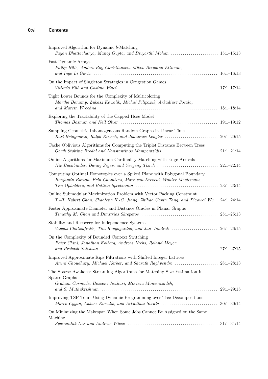| Improved Algorithm for Dynamic b-Matching                                                                                                                        |  |
|------------------------------------------------------------------------------------------------------------------------------------------------------------------|--|
| Fast Dynamic Arrays<br>Philip Bille, Anders Roy Christiansen, Mikko Berggren Ettienne,                                                                           |  |
| On the Impact of Singleton Strategies in Congestion Games                                                                                                        |  |
| Tight Lower Bounds for the Complexity of Multicoloring<br>Marthe Bonamy, Łukasz Kowalik, Michał Pilipczuk, Arkadiusz Socała,                                     |  |
| Exploring the Tractability of the Capped Hose Model                                                                                                              |  |
| Sampling Geometric Inhomogeneous Random Graphs in Linear Time                                                                                                    |  |
| Cache Oblivious Algorithms for Computing the Triplet Distance Between Trees                                                                                      |  |
| Online Algorithms for Maximum Cardinality Matching with Edge Arrivals                                                                                            |  |
| Computing Optimal Homotopies over a Spiked Plane with Polygonal Boundary<br>Benjamin Burton, Erin Chambers, Marc van Kreveld, Wouter Meulemans,                  |  |
| Online Submodular Maximization Problem with Vector Packing Constraint<br>T.-H. Hubert Chan, Shaofeng H.-C. Jiang, Zhihao Gavin Tang, and Xiaowei Wu. 24:1-24:14  |  |
| Faster Approximate Diameter and Distance Oracles in Planar Graphs                                                                                                |  |
| Stability and Recovery for Independence Systems<br>Vaggos Chatziafratis, Tim Roughgarden, and Jan Vondrak $\ldots \ldots \ldots \ldots \ldots \ldots$ 26:1–26:15 |  |
| On the Complexity of Bounded Context Switching<br>Peter Chini, Jonathan Kolberg, Andreas Krebs, Roland Meyer,                                                    |  |
| Improved Approximate Rips Filtrations with Shifted Integer Lattices                                                                                              |  |
| The Sparse Awakens: Streaming Algorithms for Matching Size Estimation in<br>Sparse Graphs<br>Graham Cormode, Hossein Jowhari, Morteza Monemizadeh,               |  |
| Improving TSP Tours Using Dynamic Programming over Tree Decompositions                                                                                           |  |
| On Minimizing the Makespan When Some Jobs Cannot Be Assigned on the Same<br>Machine                                                                              |  |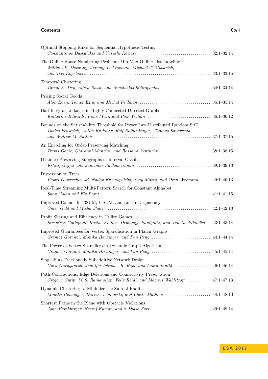#### **Contents 0:vii**

| Optimal Stopping Rules for Sequential Hypothesis Testing                                                                                             |                |
|------------------------------------------------------------------------------------------------------------------------------------------------------|----------------|
| The Online House Numbering Problem: Min-Max Online List Labeling<br>William E. Devanny, Jeremy T. Fineman, Michael T. Goodrich,                      |                |
| <b>Temporal Clustering</b>                                                                                                                           |                |
| Pricing Social Goods                                                                                                                                 |                |
| Half-Integral Linkages in Highly Connected Directed Graphs                                                                                           |                |
| Bounds on the Satisfiability Threshold for Power Law Distributed Random SAT<br>Tobias Friedrich, Anton Krohmer, Ralf Rothenberger, Thomas Sauerwald, |                |
| An Encoding for Order-Preserving Matching                                                                                                            |                |
| Distance-Preserving Subgraphs of Interval Graphs                                                                                                     | $39:1 - 39:13$ |
| Dispersion on Trees<br>Paweł Gawrychowski, Nadav Krasnopolsky, Shay Mozes, and Oren Weimann  40:1–40:13                                              |                |
| Real-Time Streaming Multi-Pattern Search for Constant Alphabet                                                                                       |                |
| Improved Bounds for 3SUM, k-SUM, and Linear Degeneracy                                                                                               |                |
| Profit Sharing and Efficiency in Utility Games<br>Sreenivas Gollapudi, Kostas Kollias, Debmalya Panigrahi, and Venetia Pliatsika . 43:1–43:14        |                |
| Improved Guarantees for Vertex Sparsification in Planar Graphs                                                                                       |                |
| The Power of Vertex Sparsifiers in Dynamic Graph Algorithms                                                                                          |                |
| Single-Sink Fractionally Subadditive Network Design<br>Guru Guruganesh, Jennifer Iglesias, R. Ravi, and Laura Sanità  46:1–46:14                     |                |
| Path-Contractions, Edge Deletions and Connectivity Preservation<br>Gregory Gutin, M.S. Ramanujan, Felix Reidl, and Magnus Wahlström  47:1–47:13      |                |
| Dynamic Clustering to Minimize the Sum of Radii                                                                                                      |                |
| Shortest Paths in the Plane with Obstacle Violations                                                                                                 |                |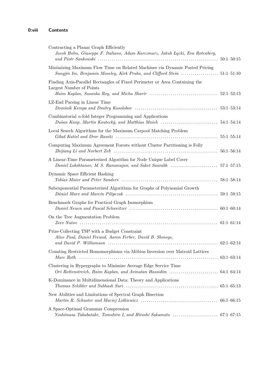| Contracting a Planar Graph Efficiently<br>Jacob Holm, Giuseppe F. Italiano, Adam Karczmarz, Jakub Łącki, Eva Rotenberg, |  |
|-------------------------------------------------------------------------------------------------------------------------|--|
| Minimizing Maximum Flow Time on Related Machines via Dynamic Posted Pricing                                             |  |
| Finding Axis-Parallel Rectangles of Fixed Perimeter or Area Containing the<br>Largest Number of Points                  |  |
| LZ-End Parsing in Linear Time                                                                                           |  |
| Combinatorial $n$ -fold Integer Programming and Applications                                                            |  |
| Local Search Algorithms for the Maximum Carpool Matching Problem                                                        |  |
| Computing Maximum Agreement Forests without Cluster Partitioning is Folly                                               |  |
| A Linear-Time Parameterized Algorithm for Node Unique Label Cover                                                       |  |
| Dynamic Space Efficient Hashing                                                                                         |  |
| Subexponential Parameterized Algorithms for Graphs of Polynomial Growth                                                 |  |
| Benchmark Graphs for Practical Graph Isomorphism                                                                        |  |
| On the Tree Augmentation Problem                                                                                        |  |
| Prize-Collecting TSP with a Budget Constraint<br>Alice Paul, Daniel Freund, Aaron Ferber, David B. Shmoys,              |  |
| Counting Restricted Homomorphisms via Möbius Inversion over Matroid Lattices                                            |  |
| Clustering in Hypergraphs to Minimize Average Edge Service Time                                                         |  |
| K-Dominance in Multidimensional Data: Theory and Applications                                                           |  |
| New Abilities and Limitations of Spectral Graph Bisection                                                               |  |
| A Space-Optimal Grammar Compression                                                                                     |  |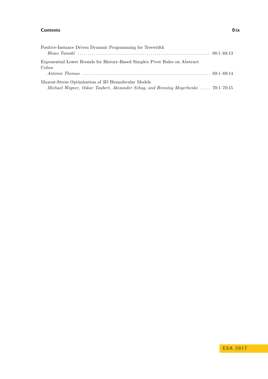#### **Contents 0:ix**

| Positive-Instance Driven Dynamic Programming for Treewidth                         |  |
|------------------------------------------------------------------------------------|--|
|                                                                                    |  |
| Exponential Lower Bounds for History-Based Simplex Pivot Rules on Abstract         |  |
| Cubes                                                                              |  |
|                                                                                    |  |
| Maxent-Stress Optimization of 3D Biomolecular Models                               |  |
| Michael Wegner, Oskar Taubert, Alexander Schug, and Henning Meyerhenke  70:1–70:15 |  |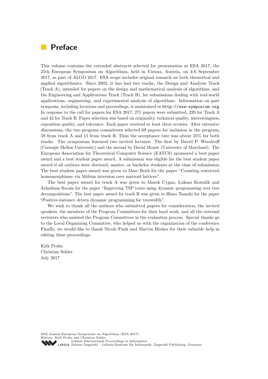### **Preface**

This volume contains the extended abstracts selected for presentation at ESA 2017, the 25th European Symposium on Algorithms, held in Vienna, Austria, on 4-6 September 2017, as part of ALGO 2017. ESA scope includes original research on both theoretical and applied algorithmics. Since 2002, it has had two tracks, the Design and Analysis Track (Track A), intended for papers on the design and mathematical analysis of algorithms, and the Engineering and Applications Track (Track B), for submissions dealing with real-world applications, engineering, and experimental analysis of algorithms. Information on past symposia, including locations and proceedings, is maintained at <http://esa-symposium.org>. In response to the call for papers for ESA 2017, 271 papers were submitted, 229 for Track A and 42 for Track B. Paper selection was based on originality, technical quality, interestingness, exposition quality, and relevance. Each paper received at least three reviews. After extensive discussions, the two program committees selected 69 papers for inclusion in the program, 58 from track A and 11 from track B. Thus the acceptance rate was about 25% for both tracks. The symposium featured two invited lectures: The first by David P. Woodruff (Carnegie Mellon University) and the second by David Mount (University of Maryland). The European Association for Theoretical Computer Science (EATCS) sponsored a best paper award and a best student paper award. A submission was eligible for the best student paper award if all authors were doctoral, master, or bachelor students at the time of submission. The best student paper award was given to Marc Roth for the paper "Counting restricted homomorphisms via Möbius inversion over matroid lattices".

The best paper award for track A was given to Marek Cygan, Lukasz Kowalik and Arkadiusz Socala for the paper "Improving TSP tours using dynamic programming over tree decompositions". The best paper award for track B was given to Hisao Tamaki for the paper "Positive-instance driven dynamic programming for treewidth".

We wish to thank all the authors who submitted papers for consideration, the invited speakers, the members of the Program Committees for their hard work, and all the external reviewers who assisted the Program Committees in the evaluation process. Special thanks go to the Local Organizing Committee, who helped us with the organization of the conference. Finally, we would like to thank Nicole Funk and Marvin Böcker for their valuable help in editing these proceedings.

Kirk Pruhs Christian Sohler July 2017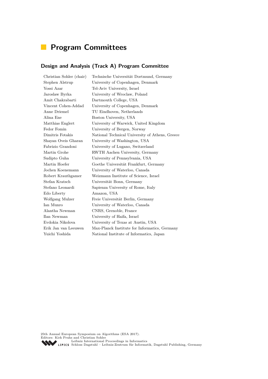# **Program Committees**

### **Design and Analysis (Track A) Program Committee**

| Christian Sohler (chair) | Technische Universität Dortmund, Germany        |
|--------------------------|-------------------------------------------------|
| Stephen Alstrup          | University of Copenhagen, Denmark               |
| Yossi Azar               | Tel-Aviv University, Israel                     |
| Jaroslaw Byrka           | University of Wroclaw, Poland                   |
| Amit Chakrabarti         | Dartmouth College, USA                          |
| Vincent Cohen-Addad      | University of Copenhagen, Denmark               |
| Anne Driemel             | TU Eindhoven, Netherlands                       |
| Alina Ene                | Boston University, USA                          |
| Matthias Englert         | University of Warwick, United Kingdom           |
| Fedor Fomin              | University of Bergen, Norway                    |
| Dimitris Fotakis         | National Technical University of Athens, Greece |
| Shayan Oveis Gharan      | University of Washington, USA                   |
| Fabrizio Grandoni        | University of Lugano, Switzerland               |
| Martin Grohe             | RWTH Aachen University, Germany                 |
| Sudipto Guha             | University of Pennsylvania, USA                 |
| Martin Hoefer            | Goethe Universität Frankfurt, Germany           |
| Jochen Koenemann         | University of Waterloo, Canada                  |
| Robert Krauthgamer       | Weizmann Institute of Science, Israel           |
| Stefan Kratsch           | Universität Bonn, Germany                       |
| Stefano Leonardi         | Sapienza University of Rome, Italy              |
| Edo Liberty              | Amazon, USA                                     |
| Wolfgang Mulzer          | Freie Universität Berlin, Germany               |
| Ian Munro                | University of Waterloo, Canada                  |
| Alantha Newman           | CNRS, Grenoble, France                          |
| Ilan Newman              | University of Haifa, Israel                     |
| Evdokia Nikolova         | University of Texas at Austin, USA              |
| Erik Jan van Leeuwen     | Max-Planck Institute for Informatics, Germany   |
| Yuichi Yoshida           | National Institute of Informatics, Japan        |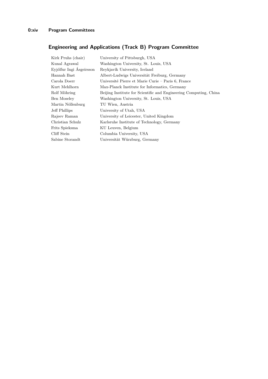## **Engineering and Applications (Track B) Program Committee**

| Kirk Pruhs (chair)       | University of Pittsburgh, USA                                     |
|--------------------------|-------------------------------------------------------------------|
| Kunal Agrawal            | Washington University, St. Louis, USA                             |
| Eyjólfur Ingi Ásgeirsson | Reykjavík University, Iceland                                     |
| Hannah Bast              | Albert-Ludwigs Universität Freiburg, Germany                      |
| Carola Doerr             | Université Pierre et Marie Curie – Paris 6, France                |
| Kurt Mehlhorn            | Max-Planck Institute for Informatics, Germany                     |
| Rolf Möhring             | Beijing Institute for Scientific and Engineering Computing, China |
| Ben Moseley              | Washington University, St. Louis, USA                             |
| Martin Nöllenburg        | TU Wien, Austria                                                  |
| Jeff Phillips            | University of Utah, USA                                           |
| Rajeev Raman             | University of Leicester, United Kingdom                           |
| Christian Schulz         | Karlsruhe Institute of Technology, Germany                        |
| Frits Spieksma           | KU Leuven, Belgium                                                |
| Cliff Stein              | Columbia University, USA                                          |
| Sabine Storandt          | Universität Würzburg, Germany                                     |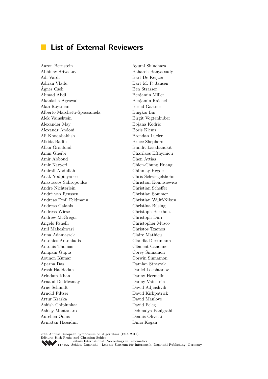### **List of External Reviewers**

Aaron Bernstein Abhinav Srivastav Adi Vardi Adrian Vladu Ágnes Cseh Ahmad Abdi Akanksha Agrawal Alan Roytman Alberto Marchetti-Spaccamela Alek Vainshtein Alexander May Alexandr Andoni Ali Khodabakhsh Alkida Balliu Allan Grønlund Amin Gheibi Amir Abboud Amir Nayyeri Amirali Abdullah Anak Yodpinyanee Anastasios Sidiropoulos André Nichterlein André van Renssen Andreas Emil Feldmann Andreas Galanis Andreas Wiese Andrew McGregor Angelo Fanelli Anil Maheshwari Anna Adamaszek Antonios Antoniadis Antonis Thomas Anupam Gupta Aounon Kumar Aparna Das Arash Haddadan Arindam Khan Arnaud De Mesmay Arne Schmidt Arnold Filtser Artur Kraska Ashish Chiplunkar Ashley Montanaro Aurélien Ooms Avinatan Hassidim

Ayumi Shinohara Bahareh Banyassady Bart De Keijzer Bart M. P. Jansen Ben Strasser Benjamin Miller Benjamin Raichel Bernd Gärtner Bingkai Lin Birgit Vogtenhuber Bojana Kodric Boris Klemz Brendan Lucier Bruce Shepherd Bundit Laekhanukit Charilaos Efthymiou Chen Attias Chien-Chung Huang Chinmay Hegde Chris Schwiegelshohn Christian Komusiewicz Christian Scheffer Christian Sommer Christian Wulff-Nilsen Christina Büsing Christoph Berkholz Christoph Dürr Christopher Musco Christos Tzamos Claire Mathieu Claudia Dieckmann Clément Canonne Corey Sinnamon Corwin Sinnamon Damian Straszak Daniel Lokshtanov Danny Hermelin Danny Vainstein David Adjiashvili David Kirkpatrick David Manlove David Peleg Debmalya Panigrahi Dennis Olivetti Dima Kogan

25th Annual European Symposium on Algorithms (ESA 2017).

Editors: Kirk Pruhs and Christian Sohler<br>Leibniz International Proceedings in Informatics

[Leibniz International Proceedings in Informatics](http://www.dagstuhl.de/en/publications/lipics/) [Schloss Dagstuhl – Leibniz-Zentrum für Informatik, Dagstuhl Publishing, Germany](http://www.dagstuhl.de/en/about-dagstuhl/)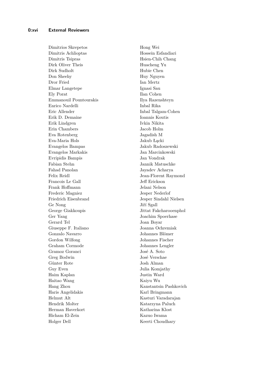Dimitrios Skrepetos Dimitris Achlioptas Dimitris Tsipras Dirk Oliver Theis Dirk Sudholt Don Sheehy Dror Fried Elmar Langetepe Ely Porat Emmanouil Pountourakis Enrico Nardelli Eric Allender Erik D. Demaine Erik Lindgren Erin Chambers Eva Rotenberg Eva-Maria Hols Evangelos Bampas Evangelos Markakis Evripidis Bampis Fabian Stehn Fahad Panolan Felix Reidl Francois Le Gall Frank Hoffmann Frederic Magniez Friedrich Eisenbrand Ge Nong George Giakkoupis Ger Yang Gerard Tel Giuseppe F. Italiano Gonzalo Navarro Gordon Wilfong Graham Cormode Gramoz Goranci Greg Bodwin Günter Rote Guy Even Haim Kaplan Haitao Wang Hang Zhou Haris Angelidakis Helmut Alt Hendrik Molter Herman Haverkort Hicham El-Zein Holger Dell

Hong Wei Hossein Esfandiari Hsien-Chih Chang Huacheng Yu Hubie Chen Huy Nguyen Ian Mertz Ignasi Sau Ilan Cohen Ilya Razenshteyn Inbal Rika Inbal Talgam-Cohen Ioannis Koutis Ivkin Nikita Jacob Holm Jagadish M Jakub Łącki Jakub Radoszewski Jan Marcinkowski Jan Vondrak Jannik Matuschke Jayadev Acharya Jean-Florent Raymond Jeff Erickson Jelani Nelson Jesper Nederlof Jesper Sindahl Nielsen Jiří Sgall Jittat Fakcharooenphol Joachim Spoerhase Joan Boyar Joanna Ochremiak Johannes Blömer Johannes Fischer Johannes Lengler José A. Soto José Verschae Josh Alman Julia Komjathy Justin Ward Kaiyu Wu Kanstantsin Pashkovich Karl Bringmann Kasturi Varadarajan Katarzyna Paluch Katharina Klost Kazuo Iwama Keerti Choudhary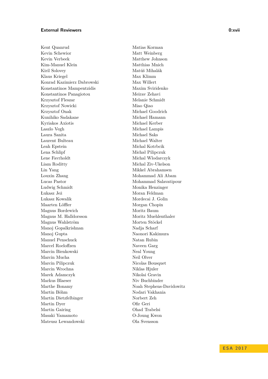#### **External Reviewers 0:xvii**

Kent Quanrud Kevin Schewior Kevin Verbeek Kim-Manuel Klein Kiril Solovey Klaus Kriegel Konrad Kazimierz Dabrowski Konstantinos Mampentzidis Konstantinos Panagiotou Krzysztof Fleszar Krzysztof Nowicki Krzysztof Onak Kunihiko Sadakane Kyriakos Axiotis Laszlo Vegh Laura Sanita Laurent Bulteau Leah Epstein Lena Schlipf Lene Favrholdt Liam Roditty Lin Yang Louxin Zhang Lucas Pastor Ludwig Schmidt Łukasz Jeż Lukasz Kowalik Maarten Löffler Magnus Bordewich Magnus M. Halldorsson Magnus Wahlström Manoj Gopalkrishnan Manoj Gupta Manuel Penschuck Marcel Roeloffzen Marcin Bienkowski Marcin Mucha Marcin Pilipczuk Marcin Wrochna Marek Adamczyk Markus Blaeser Marthe Bonamy Martin Böhm Martin Dietzfelbinger Martin Dyer Martin Gairing Masaki Yamamoto Mateusz Lewandowski

Matias Korman Matt Weinberg Matthew Johnson Matthias Mnich Matúš Mihalák Max Klimm Max Willert Maxim Sviridenko Meirav Zehavi Melanie Schmidt Miao Qiao Michael Goodrich Michael Hamann Michael Kerber Michael Lampis Michael Saks Michael Walter Michal Kotrbcik Michał Pilipczuk Michal Wlodarczyk Michal Ziv-Ukelson Mikkel Abrahamsen Mohammad Ali Abam Mohammad Salavatipour Monika Henzinger Moran Feldman Mordecai J. Golin Morgan Chopin Moritz Baum Moritz Muehlenthaler Morten Stöckel Nadja Scharf Naonori Kakimura Natan Rubin Naveen Garg Neal Young Neil Olver Nicolas Bousquet Niklas Hjuler Nikolai Gravin Niv Buchbinder Noah Stephens-Davidowitz Nodari Vakhania Norbert Zeh Ofir Geri Ohad Trabelsi O-Joung Kwon Ola Svensson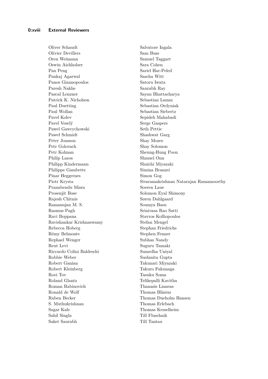Oliver Schaudt Olivier Devillers Oren Weimann Oswin Aichholzer Pan Peng Pankaj Agarwal Panos Giannopoulos Paresh Nakhe Pascal Lenzner Patrick K. Nicholson Paul Duetting Paul Wollan Pavel Kolev Pavel Veselý Pawel Gawrychowski Paweł Schmidt Peter Jonsson Petr Golovach Petr Kolman Philip Lazos Philipp Kindermann Philippe Gambette Pinar Heggernes Piotr Krysta Pranabendu Misra Prosenjit Bose Rajesh Chitnis Ramanujan M. S. Rasmus Pagh Ravi Boppana Ravishankar Krishnaswamy Rebecca Hoberg Rémy Belmonte Rephael Wenger Reut Levi Riccardo Colini Baldeschi Robbie Weber Robert Ganian Robert Kleinberg Roei Tov Roland Glantz Roman Rabinovich Ronald de Wolf Ruben Becker S. Muthukrishnan Sagar Kale Sahil Singla Saket Saurabh

Salvatore Ingala Sam Buss Samuel Taggart Sara Cohen Sariel Har-Peled Sascha Witt Satoru Iwata Saurabh Ray Sayan Bhattacharya Sebastian Lamm Sebastian Ordyniak Sebastian Siebertz Sepideh Mahabadi Serge Gaspers Seth Pettie Shashwat Garg Shay Mozes Shay Solomon Sheung-Hung Poon Shmuel Onn Shuichi Miyazaki Simina Branzei Simon Gog Sivaramakrishnan Natarajan Ramamoorthy Soeren Laue Solomon Eyal Shimony Søren Dahlgaard Soumya Basu Srinivasa Rao Satti Stavros Kolliopoulos Stefan Mengel Stephan Friedrichs Stephen Fenner Subhas Nandy Suguru Tamaki Sumedha Uniyal Sushmita Gupta Takunari Miyazaki Takuro Fukunaga Tasuku Soma Telikepalli Kavitha Thanasis Lianeas Thomas Bläsius Thomas Dueholm Hansen Thomas Erlebach Thomas Kesselheim Till Fluschnik Till Tantau